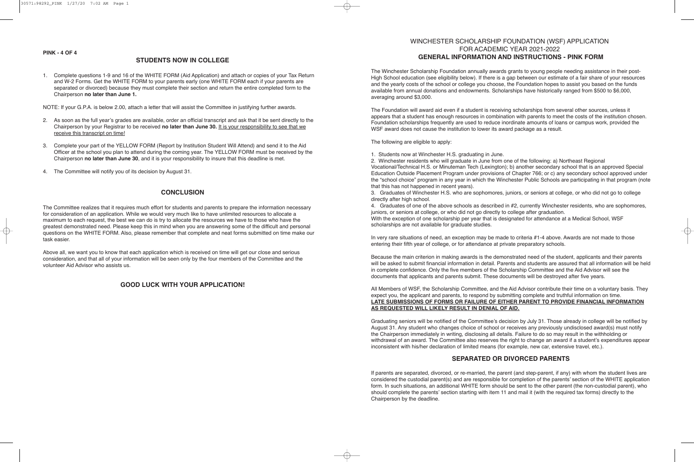## WINCHESTER SCHOLARSHIP FOUNDATION (WSF) APPLICATION FOR ACADEMIC YEAR 2021-2022 **GENERAL INFORMATION AND INSTRUCTIONS - PINK FORM**

The Winchester Scholarship Foundation annually awards grants to young people needing assistance in their post-High School education (see eligibility below). If there is a gap between our estimate of a fair share of your resources and the yearly costs of the school or college you choose, the Foundation hopes to assist you based on the funds available from annual donations and endowments. Scholarships have historically ranged from \$500 to \$6,000, averaging around \$3,000.

The Foundation will award aid even if a student is receiving scholarships from several other sources, unless it appears that a student has enough resources in combination with parents to meet the costs of the institution chosen. Foundation scholarships frequently are used to reduce inordinate amounts of loans or campus work, provided the WSF award does not cause the institution to lower its award package as a result.

The following are eligible to apply:

1. Students now at Winchester H.S. graduating in June.

2. Winchester residents who will graduate in June from one of the following: a) Northeast Regional Vocational/Technical H.S. or Minuteman Tech (Lexington); b) another secondary school that is an approved Special Education Outside Placement Program under provisions of Chapter 766; or c) any secondary school approved under the "school choice" program in any year in which the Winchester Public Schools are participating in that program (note that this has not happened in recent years).

3. Graduates of Winchester H.S. who are sophomores, juniors, or seniors at college, or who did not go to college directly after high school.

4. Graduates of one of the above schools as described in #2, currently Winchester residents, who are sophomores, juniors, or seniors at college, or who did not go directly to college after graduation.

With the exception of one scholarship per year that is designated for attendance at a Medical School, WSF scholarships are not available for graduate studies.

In very rare situations of need, an exception may be made to criteria #1-4 above. Awards are not made to those entering their fifth year of college, or for attendance at private preparatory schools.

Because the main criterion in making awards is the demonstrated need of the student, applicants and their parents will be asked to submit financial information in detail. Parents and students are assured that all information will be held in complete confidence. Only the five members of the Scholarship Committee and the Aid Advisor will see the documents that applicants and parents submit. These documents will be destroyed after five years.

All Members of WSF, the Scholarship Committee, and the Aid Advisor contribute their time on a voluntary basis. They expect you, the applicant and parents, to respond by submitting complete and truthful information on time. **LATE SUBMISSIONS OF FORMS OR FAILURE OF EITHER PARENT TO PROVIDE FINANCIAL INFORMATION AS REQUESTED WILL LIKELY RESULT IN DENIAL OF AID.**

Graduating seniors will be notified of the Committee's decision by July 31. Those already in college will be notified by August 31. Any student who changes choice of school or receives any previously undisclosed award(s) must notify the Chairperson immediately in writing, disclosing all details. Failure to do so may result in the withholding or withdrawal of an award. The Committee also reserves the right to change an award if a student's expenditures appear inconsistent with his/her declaration of limited means (for example, new car, extensive travel, etc.).

# **SEPARATED OR DIVORCED PARENTS**

If parents are separated, divorced, or re-married, the parent (and step-parent, if any) with whom the student lives are considered the custodial parent(s) and are responsible for completion of the parents' section of the WHITE application form. In such situations, an additional WHITE form should be sent to the other parent (the non-custodial parent), who should complete the parents' section starting with item 11 and mail it (with the required tax forms) directly to the Chairperson by the deadline.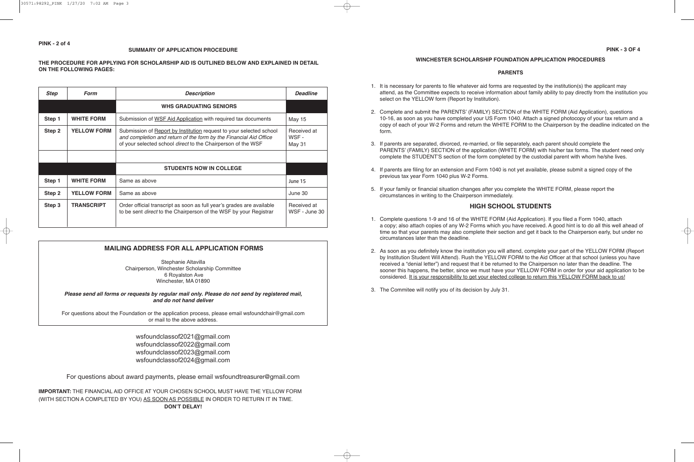## **SUMMARY OF APPLICATION PROCEDURE**

## **THE PROCEDURE FOR APPLYING FOR SCHOLARSHIP AID IS OUTLINED BELOW AND EXPLAINED IN DETAIL ON THE FOLLOWING PAGES:**

| <b>Step</b> | <b>Form</b>        | <b>Description</b>                                                                                                                                                                                       | <b>Deadline</b>                |
|-------------|--------------------|----------------------------------------------------------------------------------------------------------------------------------------------------------------------------------------------------------|--------------------------------|
|             |                    | <b>WHS GRADUATING SENIORS</b>                                                                                                                                                                            |                                |
| Step 1      | <b>WHITE FORM</b>  | Submission of WSF Aid Application with required tax documents                                                                                                                                            | <b>May 15</b>                  |
| Step 2      | <b>YELLOW FORM</b> | Submission of Report by Institution request to your selected school<br>and completion and return of the form by the Financial Aid Office<br>of your selected school direct to the Chairperson of the WSF | Received at<br>WSF -<br>May 31 |
|             |                    |                                                                                                                                                                                                          |                                |
|             |                    | <b>STUDENTS NOW IN COLLEGE</b>                                                                                                                                                                           |                                |
| Step 1      | <b>WHITE FORM</b>  | Same as above                                                                                                                                                                                            | June 15                        |
| Step 2      | <b>YELLOW FORM</b> | Same as above                                                                                                                                                                                            | June 30                        |
| Step 3      | <b>TRANSCRIPT</b>  | Order official transcript as soon as full year's grades are available<br>to be sent <i>direct</i> to the Chairperson of the WSF by your Registrar                                                        | Received at<br>WSF - June 30   |

## **MAILING ADDRESS FOR ALL APPLICATION FORMS**

Stephanie Altavilla Chairperson, Winchester Scholarship Committee 6 Royalston Ave Winchester, MA 01890

*Please send all forms or requests by regular mail only. Please do not send by registered mail, and do not hand deliver*

For questions about the Foundation or the application process, please email wsfoundchair@gmail.com or mail to the above address.

> wsfoundclassof2021@gmail.com wsfoundclassof2022@gmail.com wsfoundclassof2023@gmail.com wsfoundclassof2024@gmail.com

For questions about award payments, please email wsfoundtreasurer@gmail.com

**IMPORTANT:** THE FINANCIAL AID OFFICE AT YOUR CHOSEN SCHOOL MUST HAVE THE YELLOW FORM (WITH SECTION A COMPLETED BY YOU) AS SOON AS POSSIBLE IN ORDER TO RETURN IT IN TIME. **DON'T DELAY!**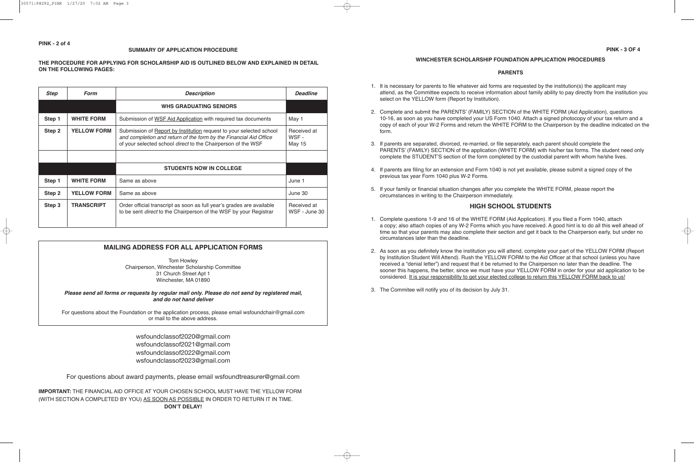## **WINCHESTER SCHOLARSHIP FOUNDATION APPLICATION PROCEDURES**

### **PARENTS**

- 1. It is necessary for parents to file whatever aid forms are requested by the institution(s) the applicant may attend, as the Committee expects to receive information about family ability to pay directly from the institution you select on the YELLOW form (Report by Institution).
- 2. Complete and submit the PARENTS' (FAMILY) SECTION of the WHITE FORM (Aid Application), questions 10-16, as soon as you have completed your US Form 1040. Attach a signed photocopy of your tax return and a copy of each of your W-2 Forms and return the WHITE FORM to the Chairperson by the deadline indicated on the form.
- 3. If parents are separated, divorced, re-married, or file separately, each parent should complete the PARENTS' (FAMILY) SECTION of the application (WHITE FORM) with his/her tax forms. The student need only complete the STUDENT'S section of the form completed by the custodial parent with whom he/she lives.
- 4. If parents are filing for an extension and Form 1040 is not yet available, please submit a signed copy of the previous tax year Form 1040 plus W-2 Forms.
- 5. If your family or financial situation changes after you complete the WHITE FORM, please report the circumstances in writing to the Chairperson immediately.

## **HIGH SCHOOL STUDENTS**

- 1. Complete questions 1-9 and 16 of the WHITE FORM (Aid Application). If you filed a Form 1040, attach a copy; also attach copies of any W-2 Forms which you have received. A good hint is to do all this well ahead of time so that your parents may also complete their section and get it back to the Chairperson early, but under no circumstances later than the deadline.
- 2. As soon as you definitely know the institution you will attend, complete your part of the YELLOW FORM (Report by Institution Student Will Attend). Rush the YELLOW FORM to the Aid Officer at that school (unless you have received a "denial letter") and request that it be returned to the Chairperson no later than the deadline. The sooner this happens, the better, since we must have your YELLOW FORM in order for your aid application to be considered. It is your responsibility to get your elected college to return this YELLOW FORM back to us!
- 3. The Commitee will notify you of its decision by July 31.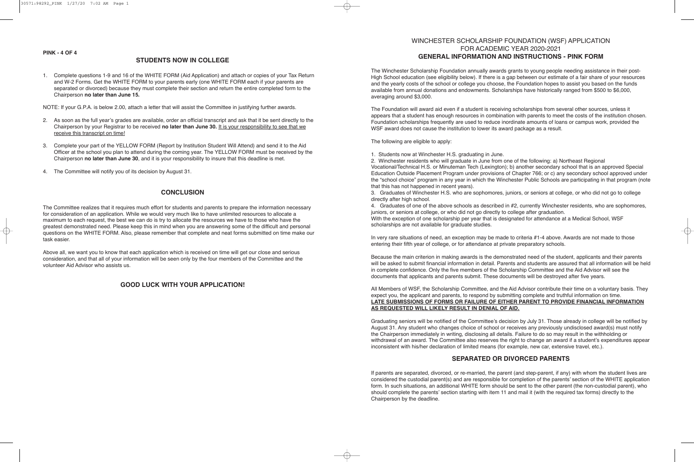### **PINK - 4 OF 4**

## **STUDENTS NOW IN COLLEGE**

1. Complete questions 1-9 and 16 of the WHITE FORM (Aid Application) and attach or copies of your Tax Return and W-2 Forms. Get the WHITE FORM to your parents early (one WHITE FORM each if your parents are separated or divorced) because they must complete their section and return the entire completed form to the Chairperson **no later than June 15.**

NOTE: If your G.P.A. is below 2.00, attach a letter that will assist the Committee in justifying further awards.

- 2. As soon as the full year's grades are available, order an official transcript and ask that it be sent directly to the Chairperson by your Registrar to be received **no later than June 30.** It is your responsibility to see that we receive this transcript on time!
- 3. Complete your part of the YELLOW FORM (Report by Institution Student Will Attend) and send it to the Aid Officer at the school you plan to attend during the coming year. The YELLOW FORM must be received by the Chairperson **no later than June 30**, and it is your responsibility to insure that this deadline is met.
- 4. The Committee will notify you of its decision by August 31.

# **CONCLUSION**

The Committee realizes that it requires much effort for students and parents to prepare the information necessary for consideration of an application. While we would very much like to have unlimited resources to allocate a maximum to each request, the best we can do is try to allocate the resources we have to those who have the greatest demonstrated need. Please keep this in mind when you are answering some of the difficult and personal questions on the WHITE FORM. Also, please remember that complete and neat forms submitted on time make our task easier.

Above all, we want you to know that each application which is received on time will get our close and serious consideration, and that all of your information will be seen only by the four members of the Committee and the volunteer Aid Advisor who assists us.

# **GOOD LUCK WITH YOUR APPLICATION!**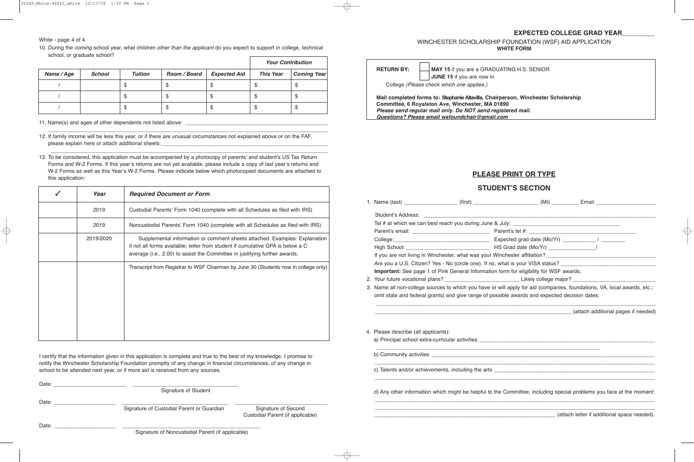## **EXPECTED COLLEGE GRAD YEAR\_\_\_\_\_\_\_\_\_**

WINCHESTER SCHOLARSHIP FOUNDATION (WSF) AID APPLICATION **WHITE FORM**

**RETURN BY: \_\_\_ MAY 15** if you are a GRADUATING H.S. SENIOR **\_\_\_ JUNE 15** if you are now in

College *(Please check which one applies.)*

**Mail completed forms to: Stephanie Altavilla, Chairperson, Winchester Scholarship Committee, 6 Royalston Ave, Winchester, MA 01890** *Please send regular mail only. Do NOT send registered mail. Questions? Please email wsfoundchair@gmail.com*

# **PLEASE PRINT OR TYPE**

# **STUDENT'S SECTION**

|                                                                                               | Are you a U.S. Citizen? Yes - No (circle one). If no, what is your VISA status?                                          |  |  |  |  |
|-----------------------------------------------------------------------------------------------|--------------------------------------------------------------------------------------------------------------------------|--|--|--|--|
| Important: See page 1 of Pink General Information form for eligibility for WSF awards.        |                                                                                                                          |  |  |  |  |
|                                                                                               |                                                                                                                          |  |  |  |  |
|                                                                                               | 3. Name all non-college sources to which you have or will apply for aid (companies, foundations, VA, local awards, etc.; |  |  |  |  |
| omit state and federal grants) and give range of possible awards and expected decision dates: |                                                                                                                          |  |  |  |  |
|                                                                                               | (attach additional pages if needed) (attach additional pages if needed)                                                  |  |  |  |  |
| 4. Please describe (all applicants):                                                          |                                                                                                                          |  |  |  |  |
|                                                                                               |                                                                                                                          |  |  |  |  |
|                                                                                               |                                                                                                                          |  |  |  |  |
|                                                                                               |                                                                                                                          |  |  |  |  |
|                                                                                               | d) Any other information which might be helpful to the Committee, including special problems you face at the moment:     |  |  |  |  |

\_\_\_\_\_\_\_\_\_\_\_\_\_\_\_\_\_\_\_\_\_\_\_\_\_\_\_\_\_\_\_\_\_\_\_\_\_\_\_\_\_\_\_\_\_\_\_\_\_\_\_\_\_\_\_\_\_\_\_\_\_\_\_\_\_\_\_\_\_\_\_\_\_\_\_\_\_\_\_\_\_\_\_\_\_\_\_\_\_\_\_\_\_\_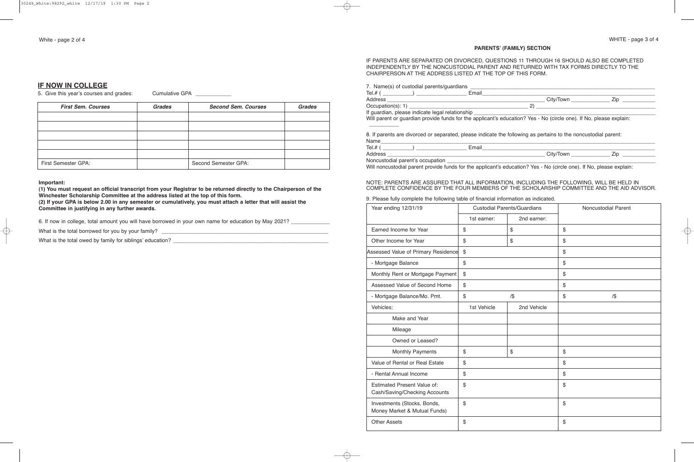# **IF NOW IN COLLEGE**

5. Give this year's courses and grades: Cumulative GPA

| <b>First Sem. Courses</b>  | <b>Grades</b> | <b>Second Sem. Courses</b> | <b>Grades</b> |
|----------------------------|---------------|----------------------------|---------------|
|                            |               |                            |               |
|                            |               |                            |               |
|                            |               |                            |               |
|                            |               |                            |               |
|                            |               |                            |               |
| <b>First Semester GPA:</b> |               | Second Semester GPA:       |               |

#### **Important:**

**(1) You must request an official transcript from your Registrar to be returned directly to the Chairperson of the Winchester Scholarship Committee at the address listed at the top of this form. (2) If your GPA is below 2.00 in any semester or cumulatively, you must attach a letter that will assist the Committee in justifying in any further awards.**

6. If now in college, total amount you will have borrowed in your own name for education by May 2021? \_\_\_\_\_\_\_\_\_\_

What is the total borrowed for you by your family? \_\_\_\_\_\_\_\_\_\_\_\_\_\_\_\_\_\_\_\_\_\_\_\_\_\_\_\_\_\_\_\_\_\_\_\_\_\_\_\_\_\_\_\_\_\_\_\_\_\_\_\_\_\_\_\_

What is the total owed by family for siblings' education? \_\_\_\_\_\_\_\_\_\_\_\_\_\_\_\_\_\_\_\_\_\_\_\_\_\_\_\_\_\_\_\_\_\_\_\_\_\_\_\_\_\_\_\_\_\_\_\_\_\_\_\_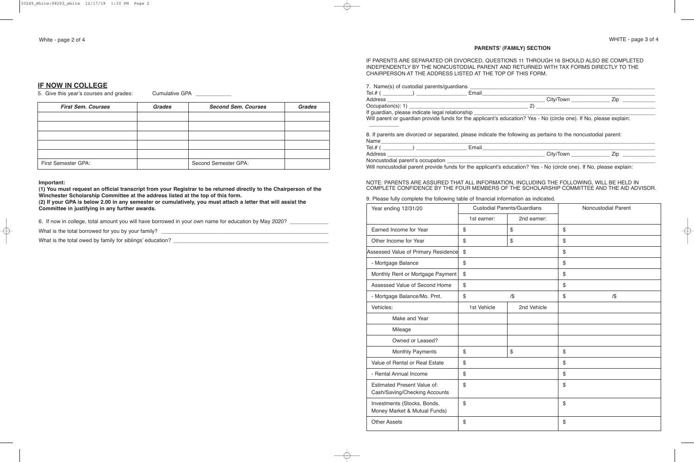## **PARENTS' (FAMILY) SECTION**

## IF PARENTS ARE SEPARATED OR DIVORCED, QUESTIONS 11 THROUGH 16 SHOULD ALSO BE COMPLETED INDEPENDENTLY BY THE NONCUSTODIAL PARENT AND RETURNED WITH TAX FORMS DIRECTLY TO THE CHAIRPERSON AT THE ADDRESS LISTED AT THE TOP OF THIS FORM.

| Will parent or guardian provide funds for the applicant's education? Yes - No (circle one). If No, please explain: |               |
|--------------------------------------------------------------------------------------------------------------------|---------------|
|                                                                                                                    |               |
| 8. If parents are divorced or separated, please indicate the following as pertains to the noncustodial parent:     |               |
| Name                                                                                                               |               |
|                                                                                                                    |               |
|                                                                                                                    | City/Town Zip |
| Noncustodial parent's occupation _____________                                                                     |               |

Will noncustodial parent provide funds for the applicant's education? Yes - No (circle one). If No, please explain:

#### NOTE: PARENTS ARE ASSURED THAT ALL INFORMATION, INCLUDING THE FOLLOWING, WILL BE HELD IN COMPLETE CONFIDENCE BY THE FOUR MEMBERS OF THE SCHOLARSHIP COMMITTEE AND THE AID ADVISOR.

#### 9. Please fully complete the following table of financial information as indicated.

| Year ending 12/31/20                                                | <b>Custodial Parents/Guardians</b> |              | Noncustodial Parent |  |
|---------------------------------------------------------------------|------------------------------------|--------------|---------------------|--|
|                                                                     | 1st earner:                        | 2nd earner:  |                     |  |
| Earned Income for Year                                              | $\$\$                              | \$           | \$                  |  |
| Other Income for Year                                               | \$                                 | $\mathbb{S}$ | \$                  |  |
| Assessed Value of Primary Residence                                 | $\$\$                              |              | \$                  |  |
| - Mortgage Balance                                                  | \$                                 |              | \$                  |  |
| Monthly Rent or Mortgage Payment                                    | $\$\$                              |              | \$                  |  |
| Assessed Value of Second Home                                       | \$                                 |              | \$                  |  |
| - Mortgage Balance/Mo. Pmt.                                         | $\$\$                              | $/$ \$       | \$<br>$/$ \$        |  |
| Vehicles:                                                           | 1st Vehicle                        | 2nd Vehicle  |                     |  |
| Make and Year                                                       |                                    |              |                     |  |
| Mileage                                                             |                                    |              |                     |  |
| Owned or Leased?                                                    |                                    |              |                     |  |
| Monthly Payments                                                    | \$                                 | \$           | \$                  |  |
| Value of Rental or Real Estate                                      | \$                                 |              | \$                  |  |
| - Rental Annual Income                                              | \$                                 |              | \$                  |  |
| <b>Estimated Present Value of:</b><br>Cash/Saving/Checking Accounts | \$                                 |              | \$                  |  |
| Investments (Stocks, Bonds,<br>Money Market & Mutual Funds)         | \$                                 |              | \$                  |  |
| <b>Other Assets</b>                                                 | \$                                 |              | \$                  |  |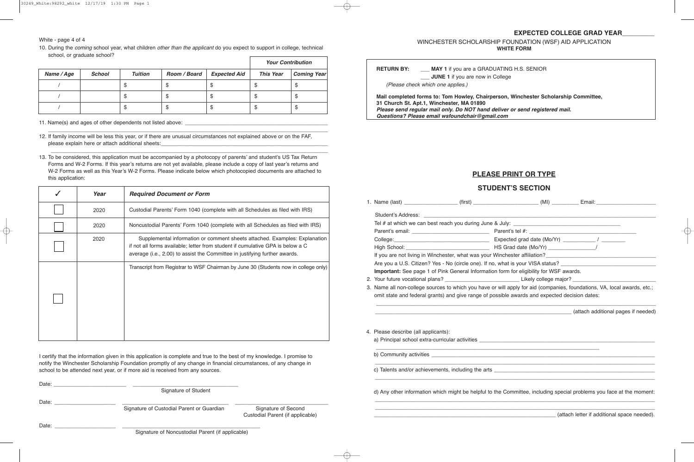White - page 4 of 4

10. During the *coming* school year, what children *other than the applicant* do you expect to support in college, technical school, or graduate school?

|            |               |                | <b>Your Contribution</b> |                     |                  |                    |
|------------|---------------|----------------|--------------------------|---------------------|------------------|--------------------|
| Name / Age | <b>School</b> | <b>Tuition</b> | Room / Board             | <b>Expected Aid</b> | <b>This Year</b> | <b>Coming Year</b> |
|            |               |                |                          | Æ                   |                  | Φ                  |
|            |               | AU.            | จ                        | จ                   | ٦IJ              | จ                  |
|            |               |                | Œ                        | Œ                   |                  | จ                  |

11. Name(s) and ages of other dependents not listed above: \_\_\_\_\_\_\_\_\_\_\_\_\_\_\_\_\_\_\_\_\_\_\_\_\_\_\_\_\_\_\_\_\_\_\_\_\_\_\_\_\_\_\_\_\_\_\_\_

12. If family income will be less this year, or if there are unusual circumstances not explained above or on the FAF, please explain here or attach additional sheets:

\_\_\_\_\_\_\_\_\_\_\_\_\_\_\_\_\_\_\_\_\_\_\_\_\_\_\_\_\_\_\_\_\_\_\_\_\_\_\_\_\_\_\_\_\_\_\_\_\_\_\_\_\_\_\_\_\_\_\_\_\_\_\_\_\_\_\_\_\_\_\_\_\_\_\_\_\_\_\_\_\_\_\_\_\_\_\_\_\_\_\_\_\_\_

 $\overline{\phantom{a}}$  , and the contribution of the contribution of the contribution of the contribution of the contribution of the contribution of the contribution of the contribution of the contribution of the contribution of the 13. To be considered, this application must be accompanied by a photocopy of parents' and student's US Tax Return Forms and W-2 Forms. If this year's returns are not yet available, please include a copy of last year's returns and W-2 Forms as well as this Year's W-2 Forms. Please indicate below which photocopied documents are attached to this application:

| Year                                                                                                                                                                                                                                               | <b>Required Document or Form</b>                                                    |
|----------------------------------------------------------------------------------------------------------------------------------------------------------------------------------------------------------------------------------------------------|-------------------------------------------------------------------------------------|
| 2020                                                                                                                                                                                                                                               | Custodial Parents' Form 1040 (complete with all Schedules as filed with IRS)        |
| 2020                                                                                                                                                                                                                                               | Noncustodial Parents' Form 1040 (complete with all Schedules as filed with IRS)     |
| Supplemental information or comment sheets attached. Examples: Explanation<br>2020<br>if not all forms available; letter from student if cumulative GPA is below a C<br>average (i.e., 2.00) to assist the Committee in justifying further awards. |                                                                                     |
|                                                                                                                                                                                                                                                    | Transcript from Registrar to WSF Chairman by June 30 (Students now in college only) |

I certify that the information given in this application is complete and true to the best of my knowledge. I promise to notify the Winchester Scholarship Foundation promptly of any change in financial circumstances, of any change in school to be attended next year, or if more aid is received from any sources.

| Date: | Signature of Student                                                           |                                                         |
|-------|--------------------------------------------------------------------------------|---------------------------------------------------------|
| Date: | Signature of Custodial Parent or Guardian                                      | Signature of Second<br>Custodial Parent (if applicable) |
| Date: | $\bigcap$ in the set of Memorial dial $\bigcap$ and if $\bigcap$ and indicated |                                                         |

Signature of Noncustodial Parent (if applicable)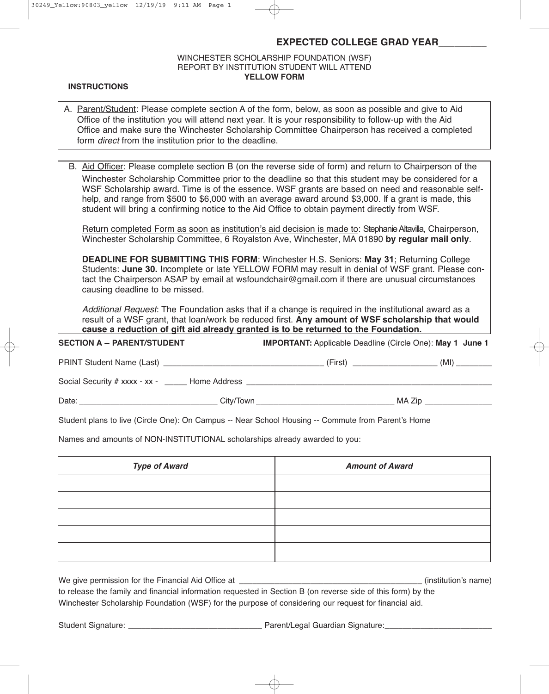## **EXPECTED COLLEGE GRAD YEAR**\_\_\_\_\_\_\_\_\_

## WINCHESTER SCHOLARSHIP FOUNDATION (WSF) REPORT BY INSTITUTION STUDENT WILL ATTEND **YELLOW FORM**

#### **INSTRUCTIONS**

| A. Parent/Student: Please complete section A of the form, below, as soon as possible and give to Aid     |
|----------------------------------------------------------------------------------------------------------|
| Office of the institution you will attend next year. It is your responsibility to follow-up with the Aid |
| Office and make sure the Winchester Scholarship Committee Chairperson has received a completed           |
| form <i>direct</i> from the institution prior to the deadline.                                           |

| B. Aid Officer: Please complete section B (on the reverse side of form) and return to Chairperson of the |
|----------------------------------------------------------------------------------------------------------|
| Winchester Scholarship Committee prior to the deadline so that this student may be considered for a      |
| WSF Scholarship award. Time is of the essence. WSF grants are based on need and reasonable self-         |
| help, and range from \$500 to \$6,000 with an average award around \$3,000. If a grant is made, this     |
| student will bring a confirming notice to the Aid Office to obtain payment directly from WSF.            |

Return completed Form as soon as institution's aid decision is made to: Stephanie Altavilla, Chairperson, Winchester Scholarship Committee, 6 Royalston Ave, Winchester, MA 01890 **by regular mail only**.

**DEADLINE FOR SUBMITTING THIS FORM**: Winchester H.S. Seniors: **May 31**; Returning College Students: **June 30.** Incomplete or late YELLOW FORM may result in denial of WSF grant. Please contact the Chairperson ASAP by email at wsfoundchair@gmail.com if there are unusual circumstances causing deadline to be missed.

*Additional Request*: The Foundation asks that if a change is required in the institutional award as a result of a WSF grant, that loan/work be reduced first. **Any amount of WSF scholarship that would cause a reduction of gift aid already granted is to be returned to the Foundation.**

# **SECTION A -- PARENT/STUDENT IMPORTANT:** Applicable Deadline (Circle One): **May 1 June 1** PRINT Student Name (Last) \_\_\_\_\_\_\_\_\_\_\_\_\_\_\_\_\_\_\_\_\_\_\_\_\_\_\_\_\_\_\_\_\_\_\_\_ (First) \_\_\_\_\_\_\_\_\_\_\_\_\_\_\_\_\_\_\_ (MI) \_\_\_\_\_\_\_\_ Social Security # xxxx - xx - \_\_\_\_\_ Home Address \_\_\_\_\_\_\_\_\_\_\_\_\_\_\_\_\_\_\_\_\_\_\_\_\_\_\_\_\_\_\_

Date: \_\_\_\_\_\_\_\_\_\_\_\_\_\_\_\_\_\_\_\_\_\_\_\_\_\_\_\_\_\_\_ City/Town \_\_\_\_\_\_\_\_\_\_\_\_\_\_\_\_\_\_\_\_\_\_\_\_\_\_\_\_\_\_\_ MA Zip \_\_\_\_\_\_\_\_\_\_\_\_\_\_\_

Student plans to live (Circle One): On Campus -- Near School Housing -- Commute from Parent's Home

Names and amounts of NON-INSTITUTIONAL scholarships already awarded to you:

| <b>Type of Award</b> | <b>Amount of Award</b> |
|----------------------|------------------------|
|                      |                        |
|                      |                        |
|                      |                        |
|                      |                        |
|                      |                        |

| We give permission for the Financial Aid Office at                                                           | (institution's name) |
|--------------------------------------------------------------------------------------------------------------|----------------------|
| to release the family and financial information requested in Section B (on reverse side of this form) by the |                      |
| Winchester Scholarship Foundation (WSF) for the purpose of considering our request for financial aid.        |                      |

Student Signature: \_\_\_\_\_\_\_\_\_\_\_\_\_\_\_\_\_\_\_\_\_\_\_\_\_\_\_\_\_\_ Parent/Legal Guardian Signature:\_\_\_\_\_\_\_\_\_\_\_\_\_\_\_\_\_\_\_\_\_\_\_\_